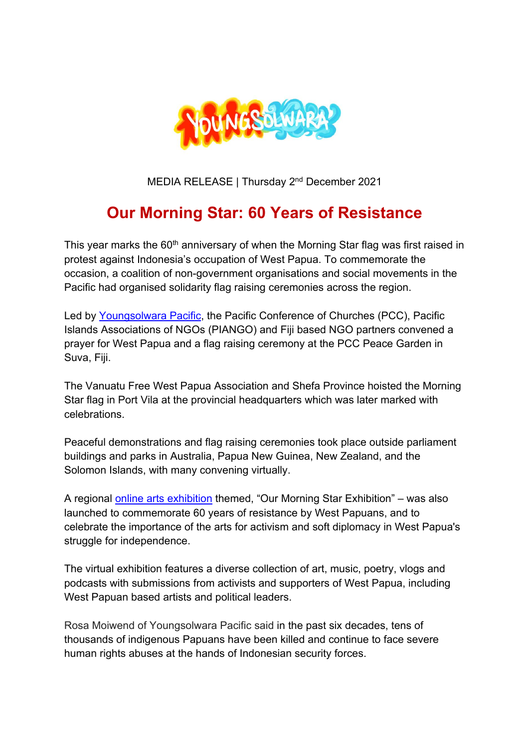

MEDIA RELEASE | Thursday 2<sup>nd</sup> December 2021

## **Our Morning Star: 60 Years of Resistance**

This year marks the 60<sup>th</sup> anniversary of when the Morning Star flag was first raised in protest against Indonesia's occupation of West Papua. To commemorate the occasion, a coalition of non-government organisations and social movements in the Pacific had organised solidarity flag raising ceremonies across the region.

Led by Youngsolwara Pacific, the Pacific Conference of Churches (PCC), Pacific Islands Associations of NGOs (PIANGO) and Fiji based NGO partners convened a prayer for West Papua and a flag raising ceremony at the PCC Peace Garden in Suva, Fiii.

The Vanuatu Free West Papua Association and Shefa Province hoisted the Morning Star flag in Port Vila at the provincial headquarters which was later marked with celebrations.

Peaceful demonstrations and flag raising ceremonies took place outside parliament buildings and parks in Australia, Papua New Guinea, New Zealand, and the Solomon Islands, with many convening virtually.

A regional online arts exhibition themed, "Our Morning Star Exhibition" – was also launched to commemorate 60 years of resistance by West Papuans, and to celebrate the importance of the arts for activism and soft diplomacy in West Papua's struggle for independence.

The virtual exhibition features a diverse collection of art, music, poetry, vlogs and podcasts with submissions from activists and supporters of West Papua, including West Papuan based artists and political leaders.

Rosa Moiwend of Youngsolwara Pacific said in the past six decades, tens of thousands of indigenous Papuans have been killed and continue to face severe human rights abuses at the hands of Indonesian security forces.